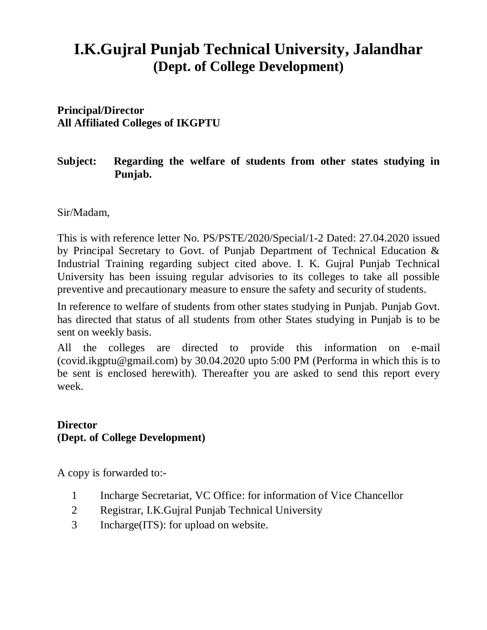## **I.K.Gujral Punjab Technical University, Jalandhar (Dept. of College Development)**

**Principal/Director All Affiliated Colleges of IKGPTU**

## **Subject: Regarding the welfare of students from other states studying in Punjab.**

Sir/Madam,

This is with reference letter No. PS/PSTE/2020/Special/1-2 Dated: 27.04.2020 issued by Principal Secretary to Govt. of Punjab Department of Technical Education & Industrial Training regarding subject cited above. I. K. Gujral Punjab Technical University has been issuing regular advisories to its colleges to take all possible preventive and precautionary measure to ensure the safety and security of students.

In reference to welfare of students from other states studying in Punjab. Punjab Govt. has directed that status of all students from other States studying in Punjab is to be sent on weekly basis.

All the colleges are directed to provide this information on e-mail (covid.ikgptu@gmail.com) by 30.04.2020 upto 5:00 PM (Performa in which this is to be sent is enclosed herewith). Thereafter you are asked to send this report every week.

## **Director (Dept. of College Development)**

A copy is forwarded to:-

- 1 Incharge Secretariat, VC Office: for information of Vice Chancellor
- 2 Registrar, I.K.Gujral Punjab Technical University
- 3 Incharge(ITS): for upload on website.